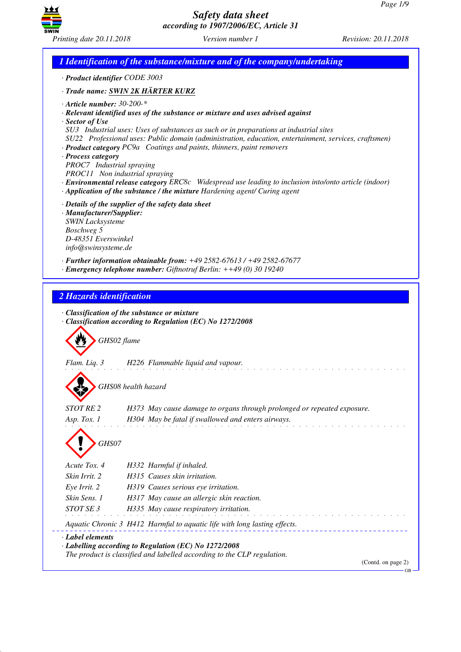GB



*Safety data sheet according to 1907/2006/EC, Article 31*

*1 Identification of the substance/mixture and of the company/undertaking · Product identifier CODE 3003 · Trade name: SWIN 2K HÄRTER KURZ · Article number: 30-200-\* · Relevant identified uses of the substance or mixture and uses advised against · Sector of Use SU3 Industrial uses: Uses of substances as such or in preparations at industrial sites SU22 Professional uses: Public domain (administration, education, entertainment, services, craftsmen) · Product category PC9a Coatings and paints, thinners, paint removers · Process category PROC7 Industrial spraying PROC11 Non industrial spraying · Environmental release category ERC8c Widespread use leading to inclusion into/onto article (indoor) · Application of the substance / the mixture Hardening agent/ Curing agent · Details of the supplier of the safety data sheet · Manufacturer/Supplier: SWIN Lacksysteme Boschweg 5 D-48351 Everswinkel info@swinsysteme.de · Further information obtainable from: +49 2582-67613 / +49 2582-67677 · Emergency telephone number: Giftnotruf Berlin: ++49 (0) 30 19240 2 Hazards identification · Classification of the substance or mixture · Classification according to Regulation (EC) No 1272/2008* d~*GHS02 flame Flam. Liq. 3 H226 Flammable liquid and vapour.* d~*GHS08 health hazard STOT RE 2 H373 May cause damage to organs through prolonged or repeated exposure. Asp. Tox. 1 H304 May be fatal if swallowed and enters airways.* d~*GHS07 Acute Tox. 4 H332 Harmful if inhaled. Skin Irrit. 2 H315 Causes skin irritation. Eye Irrit. 2 H319 Causes serious eye irritation. Skin Sens. 1 H317 May cause an allergic skin reaction. STOT SE 3 H335 May cause respiratory irritation. Aquatic Chronic 3 H412 Harmful to aquatic life with long lasting effects. · Label elements · Labelling according to Regulation (EC) No 1272/2008 The product is classified and labelled according to the CLP regulation.* (Contd. on page 2)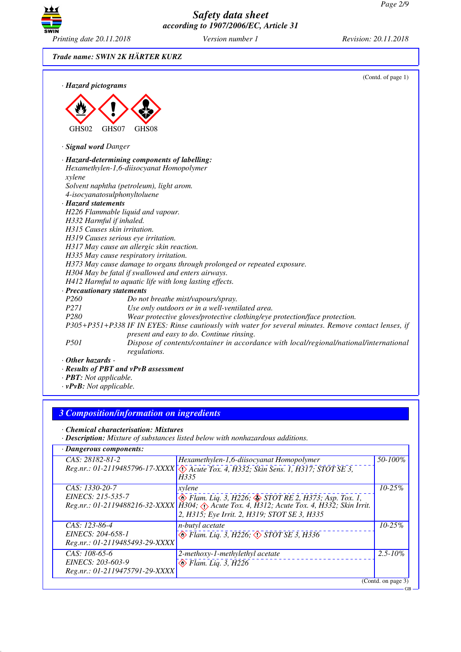GB



*Safety data sheet according to 1907/2006/EC, Article 31*

*Trade name: SWIN 2K HÄRTER KURZ*

|                                     | (Contd. of page 1)                                                                                                                                 |
|-------------------------------------|----------------------------------------------------------------------------------------------------------------------------------------------------|
| · Hazard pictograms                 |                                                                                                                                                    |
|                                     |                                                                                                                                                    |
|                                     |                                                                                                                                                    |
|                                     |                                                                                                                                                    |
| GHS02<br>GHS07                      | GHS08                                                                                                                                              |
| · Signal word Danger                |                                                                                                                                                    |
|                                     | · Hazard-determining components of labelling:                                                                                                      |
|                                     | Hexamethylen-1,6-diisocyanat Homopolymer                                                                                                           |
| xylene                              |                                                                                                                                                    |
|                                     | Solvent naphtha (petroleum), light arom.                                                                                                           |
| 4-isocyanatosulphonyltoluene        |                                                                                                                                                    |
| · Hazard statements                 |                                                                                                                                                    |
|                                     | H226 Flammable liquid and vapour.                                                                                                                  |
| H332 Harmful if inhaled.            |                                                                                                                                                    |
| H315 Causes skin irritation.        |                                                                                                                                                    |
| H319 Causes serious eye irritation. |                                                                                                                                                    |
|                                     | H317 May cause an allergic skin reaction.                                                                                                          |
|                                     | H335 May cause respiratory irritation.                                                                                                             |
|                                     | H373 May cause damage to organs through prolonged or repeated exposure.                                                                            |
|                                     | H304 May be fatal if swallowed and enters airways.                                                                                                 |
|                                     | H412 Harmful to aquatic life with long lasting effects.                                                                                            |
| · Precautionary statements          |                                                                                                                                                    |
| P <sub>260</sub>                    | Do not breathe mist/vapours/spray.                                                                                                                 |
| P271                                | Use only outdoors or in a well-ventilated area.                                                                                                    |
| P280                                | Wear protective gloves/protective clothing/eye protection/face protection.                                                                         |
|                                     | P305+P351+P338 IF IN EYES: Rinse cautiously with water for several minutes. Remove contact lenses, if<br>present and easy to do. Continue rinsing. |
| <i>P501</i>                         | Dispose of contents/container in accordance with local/regional/national/international<br>regulations.                                             |
| $\cdot$ Other hazards -             |                                                                                                                                                    |
|                                     | · Results of PBT and vPvB assessment                                                                                                               |

- *· PBT: Not applicable.*
- *· vPvB: Not applicable.*

# *3 Composition/information on ingredients*

*· Chemical characterisation: Mixtures*

*· Description: Mixture of substances listed below with nonhazardous additions.*

| · Dangerous components:        |                                                                                                |                    |
|--------------------------------|------------------------------------------------------------------------------------------------|--------------------|
| $CAS: 28182-81-2$              | Hexamethylen-1,6-diisocyanat Homopolymer                                                       | 50-100%            |
|                                | Reg.nr.: 01-2119485796-17-XXXX \( ) Acute Tox. 4, H332; Skin Sens. 1, H317; STOT SE 3,<br>H335 |                    |
| CAS: 1330-20-7                 | xylene                                                                                         | $10 - 25\%$        |
| EINECS: 215-535-7              | $\circled{$ Flam. Liq. 3, H226; $\circled{}$ STOT RE 2, H373; Asp. Tox. 1,                     |                    |
|                                | Reg.nr.: 01-2119488216-32-XXXX   H304; Acute Tox. 4, H312; Acute Tox. 4, H332; Skin Irrit.     |                    |
|                                | 2, H315; Eye Irrit. 2, H319; STOT SE 3, H335                                                   |                    |
| CAS: 123-86-4                  | <i>n-butyl acetate</i>                                                                         | $10 - 25\%$        |
| EINECS: 204-658-1              | $\circledcirc$ Flam. Liq. 3, H226, $\circledcirc$ STOT SE 3, H336                              |                    |
| Reg.nr.: 01-2119485493-29-XXXX |                                                                                                |                    |
| $CAS: 108-65-6$                | 2-methoxy-1-methylethyl acetate                                                                | $2.5 - 10\%$       |
| EINECS: 203-603-9              | $\bullet$ Flam. Liq. 3, H226                                                                   |                    |
| Reg.nr.: 01-2119475791-29-XXXX |                                                                                                |                    |
|                                |                                                                                                | (Contd. on page 3) |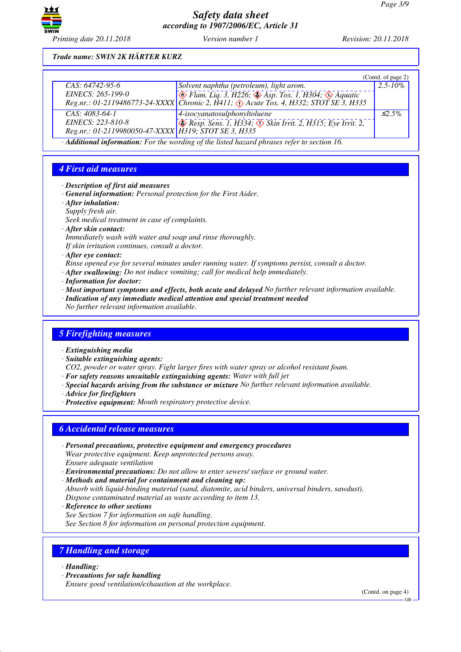

*Printing date 20.11.2018 Version number 1 Revision: 20.11.2018*

### *Trade name: SWIN 2K HÄRTER KURZ*

|                                                      |                                                                                                                | (Contd. of page 2) |
|------------------------------------------------------|----------------------------------------------------------------------------------------------------------------|--------------------|
| $CAS: 64742-95-6$                                    | Solvent naphtha (petroleum), light arom.                                                                       | $2.5 - 10\%$       |
| EINECS: 265-199-0                                    | $\otimes$ Flam. Liq. 3, H226; $\otimes$ Asp. Tox. 1, H304; $\otimes$ Aquatic                                   |                    |
|                                                      | Reg.nr.: 01-2119486773-24-XXXX   Čhronic 2, $\hat{H}$ 411; $\hat{\langle}$ Acute Tox. 4, H332; STOT SE 3, H335 |                    |
| $CAS: 4083-64-1$                                     | $\vert$ 4-isocyanatosulphonyltoluene                                                                           | $\leq$ 5%          |
| EINECS: 223-810-8                                    | $\otimes$ Resp. Sens. 1, H334; $\otimes$ Skin Irrit. 2, H315; Eye Irrit. 2,                                    |                    |
| Reg.nr.: 01-2119980050-47-XXXX H319; STOT SE 3, H335 |                                                                                                                |                    |

*· Additional information: For the wording of the listed hazard phrases refer to section 16.*

### *4 First aid measures*

- *· Description of first aid measures*
- *· General information: Personal protection for the First Aider.*
- *· After inhalation:*
- *Supply fresh air.*
- *Seek medical treatment in case of complaints.*
- *· After skin contact:*
- *Immediately wash with water and soap and rinse thoroughly.*
- *If skin irritation continues, consult a doctor.*

*· After eye contact:*

*Rinse opened eye for several minutes under running water. If symptoms persist, consult a doctor.*

- *· After swallowing: Do not induce vomiting; call for medical help immediately.*
- *· Information for doctor:*
- *· Most important symptoms and effects, both acute and delayed No further relevant information available.*
- *· Indication of any immediate medical attention and special treatment needed*

*No further relevant information available.*

### *5 Firefighting measures*

- *· Extinguishing media*
- *· Suitable extinguishing agents:*

*CO2, powder or water spray. Fight larger fires with water spray or alcohol resistant foam.*

- *· For safety reasons unsuitable extinguishing agents: Water with full jet*
- *· Special hazards arising from the substance or mixture No further relevant information available.*
- *· Advice for firefighters*
- *· Protective equipment: Mouth respiratory protective device.*

### *6 Accidental release measures*

- *· Personal precautions, protective equipment and emergency procedures Wear protective equipment. Keep unprotected persons away. Ensure adequate ventilation*
- *· Environmental precautions: Do not allow to enter sewers/ surface or ground water.*
- *· Methods and material for containment and cleaning up: Absorb with liquid-binding material (sand, diatomite, acid binders, universal binders, sawdust). Dispose contaminated material as waste according to item 13.*
- *· Reference to other sections*
- *See Section 7 for information on safe handling.*

*See Section 8 for information on personal protection equipment.*

## *7 Handling and storage*

#### *· Handling:*

*· Precautions for safe handling*

*Ensure good ventilation/exhaustion at the workplace.*

(Contd. on page 4)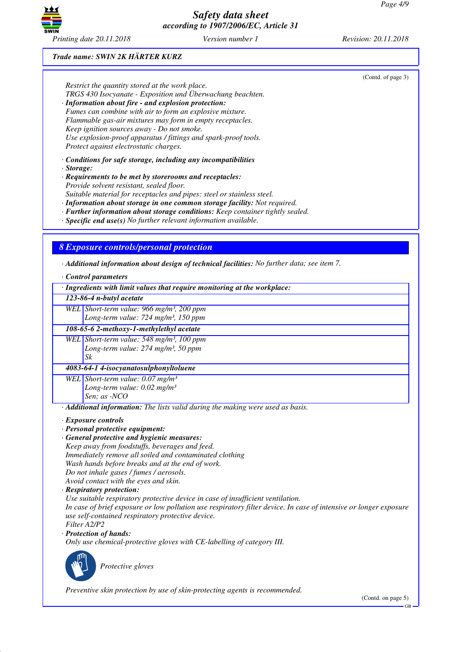

# *Trade name: SWIN 2K HÄRTER KURZ*

|                  |                                                                                                                                                          | (Contd. of page 3) |
|------------------|----------------------------------------------------------------------------------------------------------------------------------------------------------|--------------------|
|                  | Restrict the quantity stored at the work place.                                                                                                          |                    |
|                  | TRGS 430 Isocyanate - Exposition und Überwachung beachten.<br>· Information about fire - and explosion protection:                                       |                    |
|                  | Fumes can combine with air to form an explosive mixture.                                                                                                 |                    |
|                  | Flammable gas-air mixtures may form in empty receptacles.                                                                                                |                    |
|                  | Keep ignition sources away - Do not smoke.                                                                                                               |                    |
|                  | Use explosion-proof apparatus / fittings and spark-proof tools.                                                                                          |                    |
|                  | Protect against electrostatic charges.                                                                                                                   |                    |
|                  | $\cdot$ Conditions for safe storage, including any incompatibilities                                                                                     |                    |
| $\cdot$ Storage: | · Requirements to be met by storerooms and receptacles:                                                                                                  |                    |
|                  | Provide solvent resistant, sealed floor.                                                                                                                 |                    |
|                  | Suitable material for receptacles and pipes: steel or stainless steel.                                                                                   |                    |
|                  | · Information about storage in one common storage facility: Not required.                                                                                |                    |
|                  | · Further information about storage conditions: Keep container tightly sealed.<br>$\cdot$ Specific end use(s) No further relevant information available. |                    |
|                  |                                                                                                                                                          |                    |
|                  |                                                                                                                                                          |                    |
|                  | <b>8 Exposure controls/personal protection</b>                                                                                                           |                    |
|                  | $\cdot$ Additional information about design of technical facilities: No further data; see item 7.                                                        |                    |
|                  | · Control parameters                                                                                                                                     |                    |
|                  | · Ingredients with limit values that require monitoring at the workplace:                                                                                |                    |
|                  | 123-86-4 n-butyl acetate                                                                                                                                 |                    |
|                  | WEL Short-term value: 966 mg/m <sup>3</sup> , 200 ppm                                                                                                    |                    |
|                  | Long-term value: 724 mg/m <sup>3</sup> , 150 ppm                                                                                                         |                    |
|                  | 108-65-6 2-methoxy-1-methylethyl acetate                                                                                                                 |                    |
|                  | WEL Short-term value: $548$ mg/m <sup>3</sup> , 100 ppm                                                                                                  |                    |
|                  | Long-term value: 274 mg/m <sup>3</sup> , 50 ppm                                                                                                          |                    |
|                  | Sk                                                                                                                                                       |                    |
|                  | 4083-64-1 4-isocyanatosulphonyltoluene                                                                                                                   |                    |
|                  | WEL Short-term value: $0.07$ mg/m <sup>3</sup>                                                                                                           |                    |
|                  | Long-term value: $0.02$ mg/m <sup>3</sup><br>Sen; as -NCO                                                                                                |                    |
|                  | · Additional information: The lists valid during the making were used as basis.                                                                          |                    |
|                  |                                                                                                                                                          |                    |
|                  | · Exposure controls<br>· Personal protective equipment:                                                                                                  |                    |
|                  | · General protective and hygienic measures:                                                                                                              |                    |
|                  | Keep away from foodstuffs, beverages and feed.                                                                                                           |                    |
|                  | Immediately remove all soiled and contaminated clothing                                                                                                  |                    |
|                  | Wash hands before breaks and at the end of work.                                                                                                         |                    |
|                  | Do not inhale gases / fumes / aerosols.<br>Avoid contact with the eyes and skin.                                                                         |                    |
|                  | · Respiratory protection:                                                                                                                                |                    |
|                  |                                                                                                                                                          |                    |
|                  | Use suitable respiratory protective device in case of insufficient ventilation.                                                                          |                    |
|                  | In case of brief exposure or low pollution use respiratory filter device. In case of intensive or longer exposure                                        |                    |
|                  | use self-contained respiratory protective device.                                                                                                        |                    |
|                  | Filter A2/P2                                                                                                                                             |                    |
|                  | · Protection of hands:                                                                                                                                   |                    |
|                  | Only use chemical-protective gloves with CE-labelling of category III.                                                                                   |                    |
|                  |                                                                                                                                                          |                    |
|                  | Protective gloves                                                                                                                                        |                    |
|                  |                                                                                                                                                          |                    |
|                  | Preventive skin protection by use of skin-protecting agents is recommended.                                                                              | (Contd. on page 5) |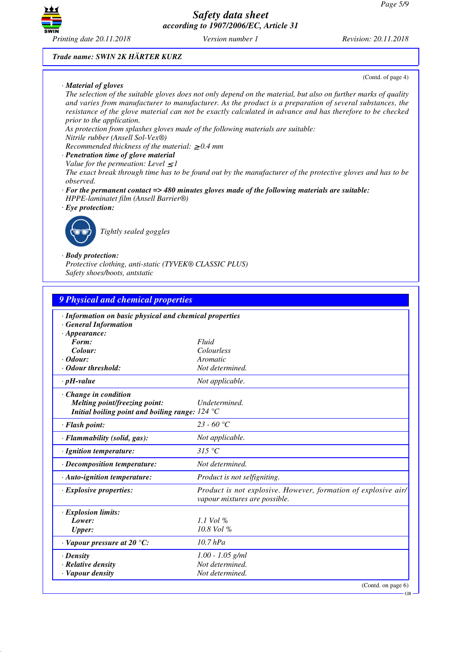

#### *Trade name: SWIN 2K HÄRTER KURZ*

#### *· Material of gloves*

(Contd. of page 4)

*The selection of the suitable gloves does not only depend on the material, but also on further marks of quality and varies from manufacturer to manufacturer. As the product is a preparation of several substances, the resistance of the glove material can not be exactly calculated in advance and has therefore to be checked prior to the application.*

*As protection from splashes gloves made of the following materials are suitable:*

### *Nitrile rubber (Ansell Sol-Vex®)*

*Recommended thickness of the material:* ≥ *0.4 mm*

- *· Penetration time of glove material*
- *Value for the permeation: Level*  $\leq$  *I*

*The exact break through time has to be found out by the manufacturer of the protective gloves and has to be observed.*

- *· For the permanent contact => 480 minutes gloves made of the following materials are suitable: HPPE-laminatet film (Ansell Barrier®)*
- *· Eye protection:*



\_R*Tightly sealed goggles*

#### *· Body protection:*

*Protective clothing, anti-static (TYVEK® CLASSIC PLUS) Safety shoes/boots, antstatic*

| 9 Physical and chemical properties                                                                                                |                                                                                                 |  |
|-----------------------------------------------------------------------------------------------------------------------------------|-------------------------------------------------------------------------------------------------|--|
| · Information on basic physical and chemical properties<br><b>General Information</b><br>$\cdot$ Appearance:                      |                                                                                                 |  |
| Form:                                                                                                                             | Fluid                                                                                           |  |
| Colour:                                                                                                                           | Colourless                                                                                      |  |
| $\cdot$ Odour:                                                                                                                    | Aromatic                                                                                        |  |
| · Odour threshold:                                                                                                                | Not determined.                                                                                 |  |
| $\cdot$ pH-value                                                                                                                  | Not applicable.                                                                                 |  |
| · Change in condition<br>Melting point/freezing point:<br>Initial boiling point and boiling range: $124 \text{ }^{\circ}\text{C}$ | Undetermined.                                                                                   |  |
| · Flash point:                                                                                                                    | $23 - 60$ °C                                                                                    |  |
| · Flammability (solid, gas):                                                                                                      | Not applicable.                                                                                 |  |
| · Ignition temperature:                                                                                                           | 315 °C                                                                                          |  |
| · Decomposition temperature:                                                                                                      | Not determined.                                                                                 |  |
| $\cdot$ Auto-ignition temperature:                                                                                                | Product is not selfigniting.                                                                    |  |
| $\cdot$ Explosive properties:                                                                                                     | Product is not explosive. However, formation of explosive air/<br>vapour mixtures are possible. |  |
| · Explosion limits:                                                                                                               |                                                                                                 |  |
| Lower:                                                                                                                            | $1.1$ Vol %                                                                                     |  |
| <b>Upper:</b>                                                                                                                     | $10.8$ Vol %                                                                                    |  |
| $\cdot$ Vapour pressure at 20 °C:                                                                                                 | $10.7$ hPa                                                                                      |  |
| $\cdot$ Density                                                                                                                   | $1.00 - 1.05$ g/ml                                                                              |  |
| · Relative density                                                                                                                | Not determined.                                                                                 |  |
| · Vapour density                                                                                                                  | Not determined.                                                                                 |  |
|                                                                                                                                   | (Contd. on page 6)                                                                              |  |

GB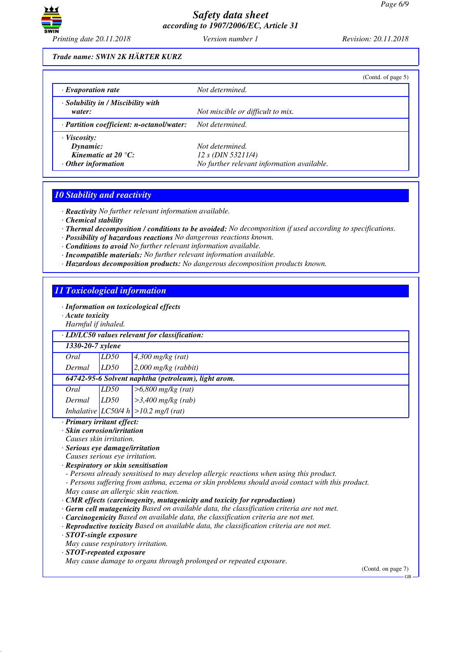

### *Trade name: SWIN 2K HÄRTER KURZ*

|                                                                                                      | (Contd. of page $5$ )                                                               |
|------------------------------------------------------------------------------------------------------|-------------------------------------------------------------------------------------|
| $\cdot$ Evaporation rate                                                                             | Not determined.                                                                     |
| · Solubility in / Miscibility with<br>water:                                                         | Not miscible or difficult to mix.                                                   |
| $\cdot$ Partition coefficient: n-octanol/water:                                                      | Not determined.                                                                     |
| $\cdot$ Viscosity:<br>Dynamic:<br>Kinematic at 20 $\mathrm{^{\circ}C:}$<br>$\cdot$ Other information | Not determined.<br>12 s (DIN 53211/4)<br>No further relevant information available. |

### *10 Stability and reactivity*

*· Reactivity No further relevant information available.*

- *· Chemical stability*
- *· Thermal decomposition / conditions to be avoided: No decomposition if used according to specifications.*
- *· Possibility of hazardous reactions No dangerous reactions known.*
- *· Conditions to avoid No further relevant information available.*
- *· Incompatible materials: No further relevant information available.*
- *· Hazardous decomposition products: No dangerous decomposition products known.*

### *11 Toxicological information*

- *· Information on toxicological effects*
- *· Acute toxicity*
- *Harmful if inhaled.*

|                                                     | rramman y mmanca. |                                           |  |  |
|-----------------------------------------------------|-------------------|-------------------------------------------|--|--|
| $\cdot$ LD/LC50 values relevant for classification: |                   |                                           |  |  |
| 1330-20-7 xylene                                    |                   |                                           |  |  |
| Oral                                                | LD50              | $4,300$ mg/kg (rat)                       |  |  |
| Dermal                                              | LD50              | $2,000$ mg/kg (rabbit)                    |  |  |
| 64742-95-6 Solvent naphtha (petroleum), light arom. |                   |                                           |  |  |
| Oral                                                | LD50              | $>6,800$ mg/kg (rat)                      |  |  |
| Dermal                                              | LD50              | $>3,400$ mg/kg (rab)                      |  |  |
|                                                     |                   | Inhalative $ LC50/4 h  > 10.2$ mg/l (rat) |  |  |

#### *· Primary irritant effect:*

- *· Skin corrosion/irritation*
- *Causes skin irritation.*
- *· Serious eye damage/irritation*
- *Causes serious eye irritation.*
- *· Respiratory or skin sensitisation*
- *Persons already sensitised to may develop allergic reactions when using this product.*
- *Persons suffering from asthma, eczema or skin problems should avoid contact with this product. May cause an allergic skin reaction.*
- *· CMR effects (carcinogenity, mutagenicity and toxicity for reproduction)*
- *· Germ cell mutagenicity Based on available data, the classification criteria are not met.*
- *· Carcinogenicity Based on available data, the classification criteria are not met.*
- *· Reproductive toxicity Based on available data, the classification criteria are not met.*
- *· STOT-single exposure*
- *May cause respiratory irritation.*
- *· STOT-repeated exposure*

*May cause damage to organs through prolonged or repeated exposure.*

(Contd. on page 7)

GB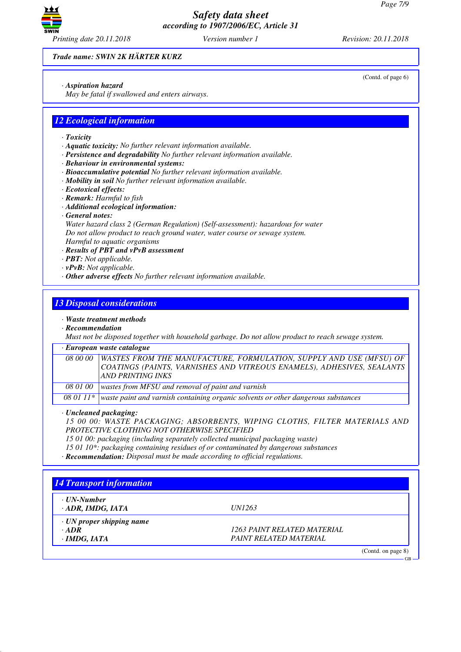

*Trade name: SWIN 2K HÄRTER KURZ*

*· Aspiration hazard*

*May be fatal if swallowed and enters airways.*

### *12 Ecological information*

- *· Toxicity*
- *· Aquatic toxicity: No further relevant information available.*
- *· Persistence and degradability No further relevant information available.*
- *· Behaviour in environmental systems:*
- *· Bioaccumulative potential No further relevant information available.*
- *· Mobility in soil No further relevant information available.*
- *· Ecotoxical effects:*
- *· Remark: Harmful to fish*
- *· Additional ecological information:*
- *· General notes:*

*Water hazard class 2 (German Regulation) (Self-assessment): hazardous for water Do not allow product to reach ground water, water course or sewage system. Harmful to aquatic organisms*

- *· Results of PBT and vPvB assessment*
- *· PBT: Not applicable.*
- *· vPvB: Not applicable.*
- *· Other adverse effects No further relevant information available.*

### *13 Disposal considerations*

#### *· Waste treatment methods*

*· Recommendation*

*Must not be disposed together with household garbage. Do not allow product to reach sewage system.*

#### *· European waste catalogue*

*08 00 00 WASTES FROM THE MANUFACTURE, FORMULATION, SUPPLY AND USE (MFSU) OF COATINGS (PAINTS, VARNISHES AND VITREOUS ENAMELS), ADHESIVES, SEALANTS AND PRINTING INKS 08 01 00 wastes from MFSU and removal of paint and varnish*

*08 01 11\* waste paint and varnish containing organic solvents or other dangerous substances*

*· Uncleaned packaging:*

*15 00 00: WASTE PACKAGING; ABSORBENTS, WIPING CLOTHS, FILTER MATERIALS AND PROTECTIVE CLOTHING NOT OTHERWISE SPECIFIED*

- *15 01 00: packaging (including separately collected municipal packaging waste)*
- *15 01 10\*: packaging containing residues of or contaminated by dangerous substances*
- *· Recommendation: Disposal must be made according to official regulations.*

# *14 Transport information · UN-Number · ADR, IMDG, IATA UN1263 · UN proper shipping name · ADR 1263 PAINT RELATED MATERIAL · IMDG, IATA PAINT RELATED MATERIAL* (Contd. on page 8) GB

(Contd. of page 6)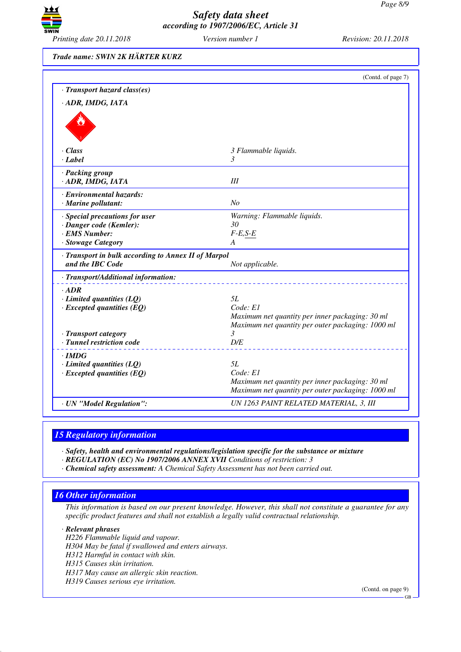

*Trade name: SWIN 2K HÄRTER KURZ*

| 3 Flammable liquids.<br>3<br>III<br>No<br>Warning: Flammable liquids.                                |
|------------------------------------------------------------------------------------------------------|
|                                                                                                      |
|                                                                                                      |
|                                                                                                      |
|                                                                                                      |
|                                                                                                      |
|                                                                                                      |
|                                                                                                      |
|                                                                                                      |
|                                                                                                      |
|                                                                                                      |
|                                                                                                      |
|                                                                                                      |
| 30                                                                                                   |
| $F-E, S-E$                                                                                           |
| A                                                                                                    |
| · Transport in bulk according to Annex II of Marpol                                                  |
| Not applicable.                                                                                      |
|                                                                                                      |
|                                                                                                      |
| 5L                                                                                                   |
| Code: E1                                                                                             |
| Maximum net quantity per inner packaging: 30 ml<br>Maximum net quantity per outer packaging: 1000 ml |
| 3                                                                                                    |
| D/E                                                                                                  |
|                                                                                                      |
| <i>5L</i>                                                                                            |
| Code: E1                                                                                             |
| Maximum net quantity per inner packaging: 30 ml                                                      |
| Maximum net quantity per outer packaging: 1000 ml                                                    |
| UN 1263 PAINT RELATED MATERIAL, 3, III                                                               |
|                                                                                                      |

### *15 Regulatory information*

*· Safety, health and environmental regulations/legislation specific for the substance or mixture*

*· REGULATION (EC) No 1907/2006 ANNEX XVII Conditions of restriction: 3*

*· Chemical safety assessment: A Chemical Safety Assessment has not been carried out.*

### *16 Other information*

*This information is based on our present knowledge. However, this shall not constitute a guarantee for any specific product features and shall not establish a legally valid contractual relationship.*

*· Relevant phrases*

*H226 Flammable liquid and vapour.*

*H304 May be fatal if swallowed and enters airways.*

*H312 Harmful in contact with skin.*

*H315 Causes skin irritation.*

*H317 May cause an allergic skin reaction.*

*H319 Causes serious eye irritation.*

(Contd. on page 9)

GB